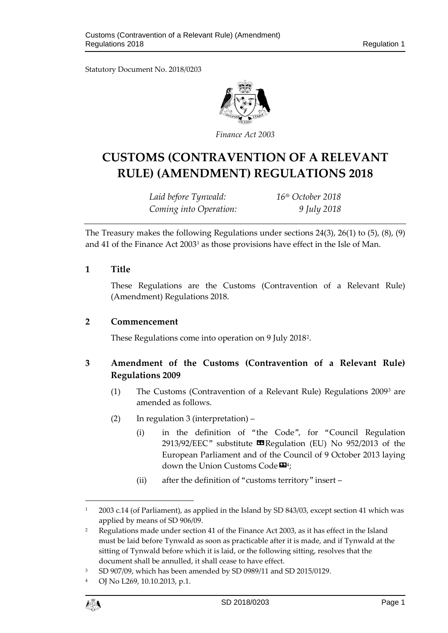Statutory Document No. 2018/0203



*Finance Act 2003*

# **CUSTOMS (CONTRAVENTION OF A RELEVANT RULE) (AMENDMENT) REGULATIONS 2018**

*Laid before Tynwald: 16th October 2018 Coming into Operation: 9 July 2018*

The Treasury makes the following Regulations under sections 24(3), 26(1) to (5), (8), (9) and 41 of the Finance Act 2003[1](#page-0-0) as those provisions have effect in the Isle of Man.

## **1 Title**

These Regulations are the Customs (Contravention of a Relevant Rule) (Amendment) Regulations 2018.

### **2 Commencement**

These Regulations come into operation on 9 July 2018[2.](#page-0-1)

## **3 Amendment of the Customs (Contravention of a Relevant Rule) Regulations 2009**

- (1) The Customs (Contravention of a Relevant Rule) Regulations 2009[3](#page-0-2) are amended as follows.
- (2) In regulation 3 (interpretation)
	- (i) in the definition of "the Code", for "Council Regulation 2913/92/EEC" substitute  $\blacksquare$  Regulation (EU) No 952/2013 of the European Parliament and of the Council of 9 October 2013 laying down the Union Customs Code $\mathbf{\mathbb{\Xi}}^{4}$  $\mathbf{\mathbb{\Xi}}^{4}$  $\mathbf{\mathbb{\Xi}}^{4}$ ;
	- (ii) after the definition of "customs territory" insert –

<span id="page-0-3"></span><sup>4</sup> OJ No L269, 10.10.2013, p.1.



 $\overline{a}$ 

<span id="page-0-0"></span><sup>&</sup>lt;sup>1</sup> 2003 c.14 (of Parliament), as applied in the Island by SD 843/03, except section 41 which was applied by means of SD 906/09.

<span id="page-0-1"></span><sup>&</sup>lt;sup>2</sup> Regulations made under section 41 of the Finance Act 2003, as it has effect in the Island must be laid before Tynwald as soon as practicable after it is made, and if Tynwald at the sitting of Tynwald before which it is laid, or the following sitting, resolves that the document shall be annulled, it shall cease to have effect.

<span id="page-0-2"></span><sup>3</sup> SD 907/09, which has been amended by SD 0989/11 and SD 2015/0129.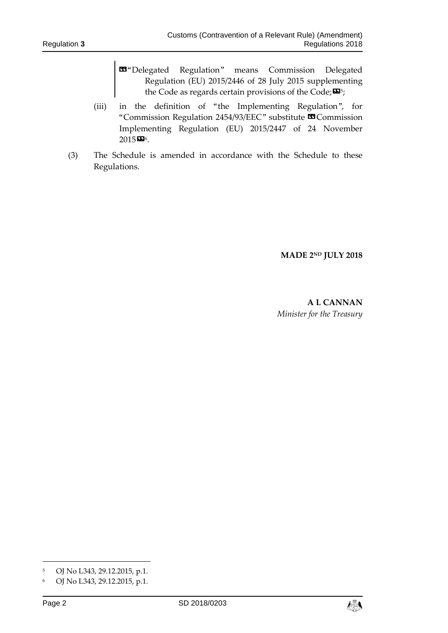- «"Delegated Regulation" means Commission Delegated Regulation (EU) 2015/2446 of 28 July 2015 supplementing the Code as regards certain provisions of the Code; $\mathbf{\Sigma}^5$ ;
- (iii) in the definition of "the Implementing Regulation", for "Commission Regulation 2454/93/EEC" substitute **¤**Commission Implementing Regulation (EU) 2015/2447 of 24 November  $2015$  $206$ .
- (3) The Schedule is amended in accordance with the Schedule to these Regulations.

**MADE 2ND JULY 2018**

**A L CANNAN** *Minister for the Treasury*

-



<span id="page-1-0"></span><sup>5</sup> OJ No L343, 29.12.2015, p.1.

<span id="page-1-1"></span><sup>6</sup> OJ No L343, 29.12.2015, p.1.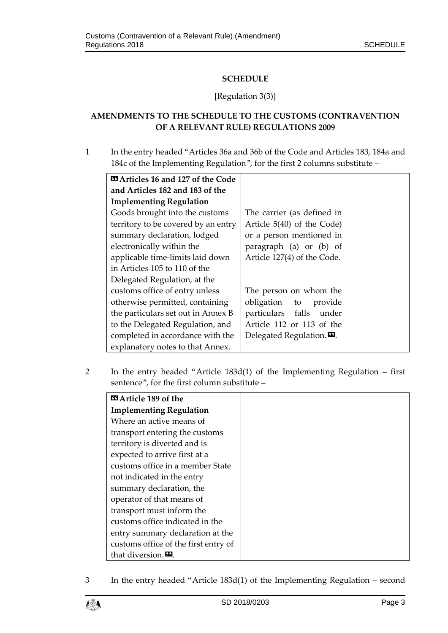## **SCHEDULE**

### [Regulation 3(3)]

## **AMENDMENTS TO THE SCHEDULE TO THE CUSTOMS (CONTRAVENTION OF A RELEVANT RULE) REGULATIONS 2009**

1 In the entry headed "Articles 36a and 36b of the Code and Articles 183, 184a and 184c of the Implementing Regulation", for the first 2 columns substitute –

| <b>¤ Articles 16 and 127 of the Code</b> |                                                   |
|------------------------------------------|---------------------------------------------------|
| and Articles 182 and 183 of the          |                                                   |
| <b>Implementing Regulation</b>           |                                                   |
| Goods brought into the customs           | The carrier (as defined in                        |
| territory to be covered by an entry      | Article $5(40)$ of the Code)                      |
| summary declaration, lodged              | or a person mentioned in                          |
| electronically within the                | paragraph (a) or (b) of                           |
| applicable time-limits laid down         | Article 127(4) of the Code.                       |
| in Articles 105 to 110 of the            |                                                   |
| Delegated Regulation, at the             |                                                   |
| customs office of entry unless           | The person on whom the                            |
| otherwise permitted, containing          | obligation to provide                             |
| the particulars set out in Annex B       | particulars falls under                           |
| to the Delegated Regulation, and         | Article 112 or 113 of the                         |
| completed in accordance with the         | Delegated Regulation. $\boldsymbol{\mathsf{E}}$ . |
| explanatory notes to that Annex.         |                                                   |

2 In the entry headed "Article 183d(1) of the Implementing Regulation – first sentence", for the first column substitute –

| <b>¤ Article 189 of the</b>          |
|--------------------------------------|
| <b>Implementing Regulation</b>       |
| Where an active means of             |
| transport entering the customs       |
| territory is diverted and is         |
| expected to arrive first at a        |
| customs office in a member State     |
| not indicated in the entry           |
| summary declaration, the             |
| operator of that means of            |
| transport must inform the            |
| customs office indicated in the      |
| entry summary declaration at the     |
| customs office of the first entry of |
| that diversion.                      |

3 In the entry headed "Article 183d(1) of the Implementing Regulation – second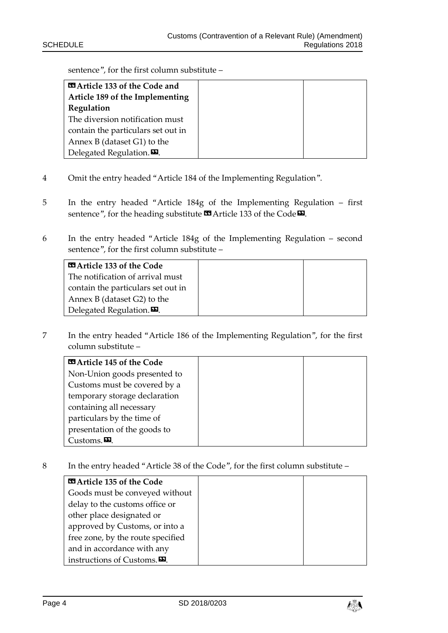sentence", for the first column substitute –

| <b>E Article 133 of the Code and</b>       |  |
|--------------------------------------------|--|
| Article 189 of the Implementing            |  |
| Regulation                                 |  |
| The diversion notification must            |  |
| contain the particulars set out in         |  |
| Annex B (dataset $G1$ ) to the             |  |
| Delegated Regulation. $\boldsymbol{\Xi}$ . |  |

- 4 Omit the entry headed "Article 184 of the Implementing Regulation".
- 5 In the entry headed "Article 184g of the Implementing Regulation first sentence", for the heading substitute **II** Article 133 of the Code<sup>D</sup>.
- 6 In the entry headed "Article 184g of the Implementing Regulation second sentence", for the first column substitute –

| <b>EXA</b> Article 133 of the Code   |  |
|--------------------------------------|--|
| The notification of arrival must     |  |
| contain the particulars set out in   |  |
| Annex B (dataset $G2$ ) to the       |  |
| Delegated Regulation. $\mathbf{E}$ . |  |

7 In the entry headed "Article 186 of the Implementing Regulation", for the first column substitute –

| <b>Ed Article 145 of the Code</b> |  |
|-----------------------------------|--|
| Non-Union goods presented to      |  |
| Customs must be covered by a      |  |
| temporary storage declaration     |  |
| containing all necessary          |  |
| particulars by the time of        |  |
| presentation of the goods to      |  |
| Customs. $\mathbf{E}$ .           |  |

8 In the entry headed "Article 38 of the Code", for the first column substitute –

| <b>EXA</b> Article 135 of the Code                 |
|----------------------------------------------------|
| Goods must be conveyed without                     |
| delay to the customs office or                     |
| other place designated or                          |
| approved by Customs, or into a                     |
| free zone, by the route specified                  |
| and in accordance with any                         |
| instructions of Customs. $\mathbf{\mathbf{\Xi}}$ . |

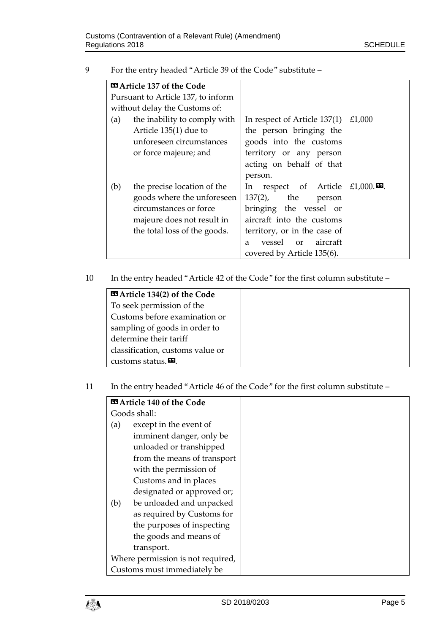| For the entry headed "Article 39 of the Code" substitute –<br>- 9 |
|-------------------------------------------------------------------|
|-------------------------------------------------------------------|

|     | <b>Example 137 of the Code</b>     |                              |                                       |
|-----|------------------------------------|------------------------------|---------------------------------------|
|     | Pursuant to Article 137, to inform |                              |                                       |
|     | without delay the Customs of:      |                              |                                       |
| (a) | the inability to comply with       | In respect of Article 137(1) | £1,000                                |
|     | Article 135(1) due to              | the person bringing the      |                                       |
|     | unforeseen circumstances           | goods into the customs       |                                       |
|     | or force majeure; and              | territory or any person      |                                       |
|     |                                    | acting on behalf of that     |                                       |
|     |                                    | person.                      |                                       |
| (b) | the precise location of the        | In respect of Article        | £1,000. $\boldsymbol{\mathbf{\Xi}}$ . |
|     | goods where the unforeseen         | $137(2)$ , the<br>person     |                                       |
|     | circumstances or force             | bringing the vessel or       |                                       |
|     | majeure does not result in         | aircraft into the customs    |                                       |
|     | the total loss of the goods.       | territory, or in the case of |                                       |
|     |                                    | vessel or<br>aircraft<br>a   |                                       |
|     |                                    | covered by Article 135(6).   |                                       |

10 In the entry headed "Article 42 of the Code" for the first column substitute –

| <b>Example 134(2)</b> of the Code |  |
|-----------------------------------|--|
| To seek permission of the         |  |
| Customs before examination or     |  |
| sampling of goods in order to     |  |
| determine their tariff            |  |
| classification, customs value or  |  |
| customs status. $\mathbf{E}$ .    |  |

11 In the entry headed "Article 46 of the Code" for the first column substitute –

|     | <b>E Article 140 of the Code</b>  |
|-----|-----------------------------------|
|     | Goods shall:                      |
| (a) | except in the event of            |
|     | imminent danger, only be          |
|     | unloaded or transhipped           |
|     | from the means of transport       |
|     | with the permission of            |
|     | Customs and in places             |
|     | designated or approved or;        |
| (b) | be unloaded and unpacked          |
|     | as required by Customs for        |
|     | the purposes of inspecting        |
|     | the goods and means of            |
|     | transport.                        |
|     | Where permission is not required, |
|     | Customs must immediately be       |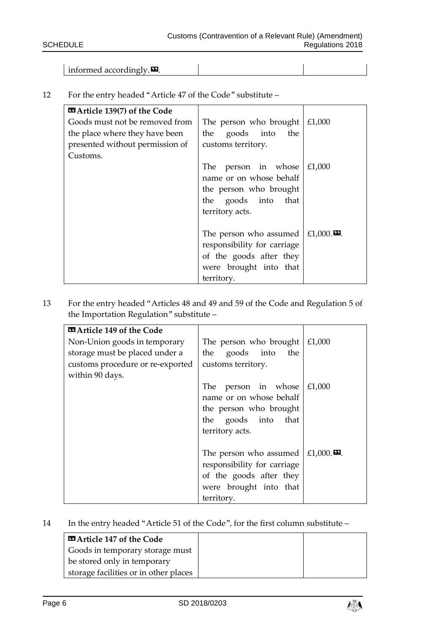informed accordingly. $\boldsymbol{\mathsf{E}}$ .

| <b>ES</b> Article 139(7) of the Code |                                                                   |        |
|--------------------------------------|-------------------------------------------------------------------|--------|
| Goods must not be removed from       | The person who brought $\mid$ £1,000                              |        |
| the place where they have been       | the goods into<br>the                                             |        |
| presented without permission of      | customs territory.                                                |        |
| Customs.                             |                                                                   |        |
|                                      | The person in whose                                               | £1,000 |
|                                      | name or on whose behalf                                           |        |
|                                      | the person who brought                                            |        |
|                                      | the goods into that                                               |        |
|                                      | territory acts.                                                   |        |
|                                      |                                                                   |        |
|                                      | The person who assumed $\mid$ £1,000. $\boldsymbol{\mathsf{E}}$ . |        |
|                                      | responsibility for carriage                                       |        |
|                                      | of the goods after they                                           |        |
|                                      | were brought into that                                            |        |
|                                      | territory.                                                        |        |

12 For the entry headed "Article 47 of the Code" substitute –

13 For the entry headed "Articles 48 and 49 and 59 of the Code and Regulation 5 of the Importation Regulation" substitute –

| <b>EXActicle 149 of the Code</b> |                             |                                 |
|----------------------------------|-----------------------------|---------------------------------|
| Non-Union goods in temporary     | The person who brought      | £1,000                          |
| storage must be placed under a   | goods into the<br>the       |                                 |
| customs procedure or re-exported | customs territory.          |                                 |
| within 90 days.                  |                             |                                 |
|                                  | person in whose<br>The      | £1,000                          |
|                                  | name or on whose behalf     |                                 |
|                                  | the person who brought      |                                 |
|                                  | the goods into that         |                                 |
|                                  | territory acts.             |                                 |
|                                  |                             |                                 |
|                                  | The person who assumed      | £1,000. $\boldsymbol{\Sigma}$ . |
|                                  | responsibility for carriage |                                 |
|                                  | of the goods after they     |                                 |
|                                  | were brought into that      |                                 |
|                                  | territory.                  |                                 |

# 14 In the entry headed "Article 51 of the Code", for the first column substitute –

| <b>EXActicle 147 of the Code</b>      |  |
|---------------------------------------|--|
| Goods in temporary storage must       |  |
| be stored only in temporary           |  |
| storage facilities or in other places |  |

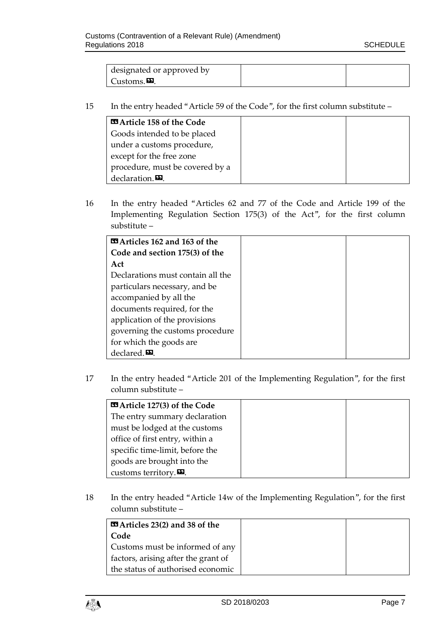| designated or approved by |  |
|---------------------------|--|
| Customs. <b>¤</b> .       |  |

15 In the entry headed "Article 59 of the Code", for the first column substitute –

| <b>Example 158 of the Code</b>  |  |
|---------------------------------|--|
| Goods intended to be placed     |  |
| under a customs procedure,      |  |
| except for the free zone        |  |
| procedure, must be covered by a |  |
| declaration. $\mathbf{E}$ .     |  |

16 In the entry headed "Articles 62 and 77 of the Code and Article 199 of the Implementing Regulation Section 175(3) of the Act", for the first column substitute –

| <b>EXActicles 162 and 163 of the</b> |
|--------------------------------------|
| Code and section 175(3) of the       |
| Act                                  |
| Declarations must contain all the    |
| particulars necessary, and be        |
| accompanied by all the               |
| documents required, for the          |
| application of the provisions        |
| governing the customs procedure      |
| for which the goods are              |
| declared $\mathbf{E}$ .              |

17 In the entry headed "Article 201 of the Implementing Regulation", for the first column substitute –

| <b>Example 127(3)</b> of the Code               |  |
|-------------------------------------------------|--|
| The entry summary declaration                   |  |
| must be lodged at the customs                   |  |
| office of first entry, within a                 |  |
| specific time-limit, before the                 |  |
| goods are brought into the                      |  |
| customs territory. $\mathbf{\mathbf{\Sigma}}$ . |  |

18 In the entry headed "Article 14w of the Implementing Regulation", for the first column substitute –

| <b>EXA</b> Articles 23(2) and 38 of the |  |
|-----------------------------------------|--|
| Code                                    |  |
| Customs must be informed of any         |  |
| factors, arising after the grant of     |  |
| the status of authorised economic       |  |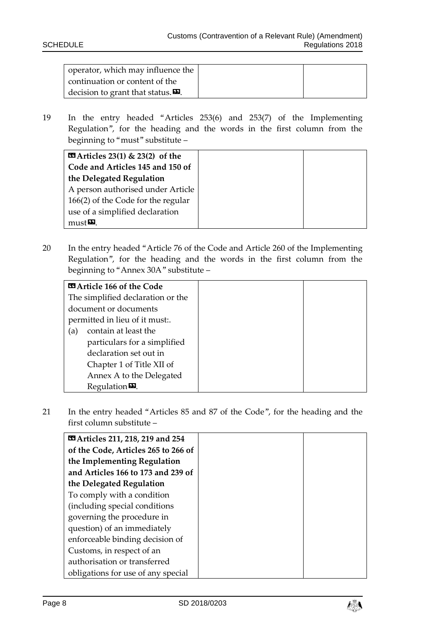| operator, which may influence the                                       |  |
|-------------------------------------------------------------------------|--|
| continuation or content of the                                          |  |
| $\vert$ decision to grant that status. $\boldsymbol{\mathbb{\Sigma}}$ . |  |

19 In the entry headed "Articles 253(6) and 253(7) of the Implementing Regulation", for the heading and the words in the first column from the beginning to "must" substitute –

| <b>EXA</b> Articles 23(1) & 23(2) of the |  |
|------------------------------------------|--|
| Code and Articles 145 and 150 of         |  |
| the Delegated Regulation                 |  |
| A person authorised under Article        |  |
| 166(2) of the Code for the regular       |  |
| use of a simplified declaration          |  |
| $must\boldsymbol{\Sigma}$ .              |  |

20 In the entry headed "Article 76 of the Code and Article 260 of the Implementing Regulation", for the heading and the words in the first column from the beginning to "Annex 30A" substitute –

| <b>E Article 166 of the Code</b>  |  |
|-----------------------------------|--|
| The simplified declaration or the |  |
| document or documents             |  |
| permitted in lieu of it must      |  |
| contain at least the<br>(a)       |  |
| particulars for a simplified      |  |
| declaration set out in            |  |
| Chapter 1 of Title XII of         |  |
| Annex A to the Delegated          |  |
| Regulation $\mathbf{E}$ .         |  |

21 In the entry headed "Articles 85 and 87 of the Code", for the heading and the first column substitute –

| <b>EX</b> Articles 211, 218, 219 and 254 |  |
|------------------------------------------|--|
| of the Code, Articles 265 to 266 of      |  |
| the Implementing Regulation              |  |
| and Articles 166 to 173 and 239 of       |  |
| the Delegated Regulation                 |  |
| To comply with a condition               |  |
| (including special conditions            |  |
| governing the procedure in               |  |
| question) of an immediately              |  |
| enforceable binding decision of          |  |
| Customs, in respect of an                |  |
| authorisation or transferred             |  |
| obligations for use of any special       |  |

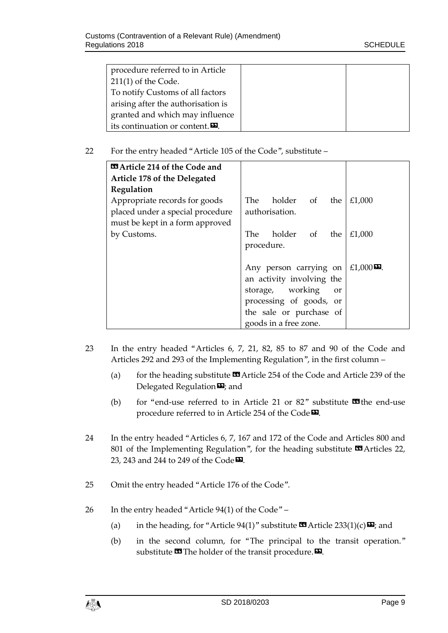| procedure referred to in Article                 |  |
|--------------------------------------------------|--|
| $211(1)$ of the Code.                            |  |
| To notify Customs of all factors                 |  |
| arising after the authorisation is               |  |
| granted and which may influence                  |  |
| its continuation or content. $\mathbf{\Sigma}$ . |  |

#### 22 For the entry headed "Article 105 of the Code", substitute –

| <b>¤ Article 214 of the Code and</b> |                                             |
|--------------------------------------|---------------------------------------------|
| Article 178 of the Delegated         |                                             |
| Regulation                           |                                             |
| Appropriate records for goods        | holder of<br>The<br>£1,000<br>the           |
| placed under a special procedure     | authorisation.                              |
| must be kept in a form approved      |                                             |
| by Customs.                          | holder of<br>£1,000<br>The .<br>the         |
|                                      | procedure.                                  |
|                                      |                                             |
|                                      | £1,000 $\Omega$ .<br>Any person carrying on |
|                                      | an activity involving the                   |
|                                      | storage, working<br>or                      |
|                                      | processing of goods, or                     |
|                                      | the sale or purchase of                     |
|                                      | goods in a free zone.                       |

- 23 In the entry headed "Articles 6, 7, 21, 82, 85 to 87 and 90 of the Code and Articles 292 and 293 of the Implementing Regulation", in the first column –
	- (a) for the heading substitute  $\blacksquare$  Article 254 of the Code and Article 239 of the Delegated Regulation $\mathbf{E}$ ; and
	- (b) for "end-use referred to in Article 21 or  $82$ " substitute  $\blacksquare$  the end-use procedure referred to in Article 254 of the Code<sup>D</sup>.
- 24 In the entry headed "Articles 6, 7, 167 and 172 of the Code and Articles 800 and 801 of the Implementing Regulation", for the heading substitute  $\Box$  Articles 22, 23, 243 and 244 to 249 of the Code $\boldsymbol{\mathsf{Z}}$ .
- 25 Omit the entry headed "Article 176 of the Code".
- 26 In the entry headed "Article 94(1) of the Code"
	- (a) in the heading, for "Article 94(1)" substitute  $\mathbf{C}$  Article 233(1)(c) $\mathbf{E}$ ; and
	- (b) in the second column, for "The principal to the transit operation." substitute  $\blacksquare$  The holder of the transit procedure.  $\blacksquare$ .

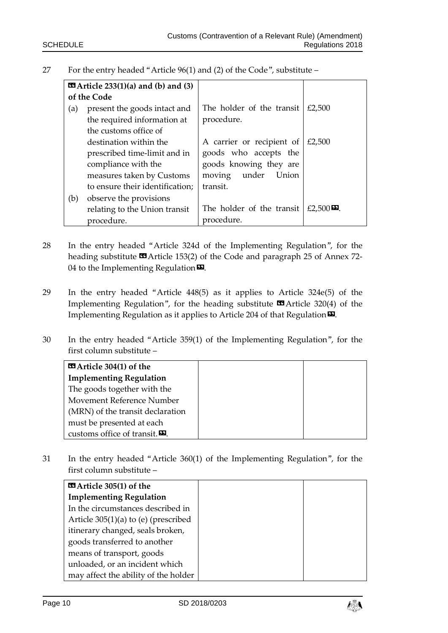| 27 | For the entry headed "Article $96(1)$ and (2) of the Code", substitute – |  |  |  |
|----|--------------------------------------------------------------------------|--|--|--|
|    |                                                                          |  |  |  |

|     | <b>EX</b> Article 233 $(1)(a)$ and $(b)$ and $(3)$ |                           |                   |
|-----|----------------------------------------------------|---------------------------|-------------------|
|     | of the Code                                        |                           |                   |
| (a) | present the goods intact and                       | The holder of the transit | £2,500            |
|     | the required information at                        | procedure.                |                   |
|     | the customs office of                              |                           |                   |
|     | destination within the                             | A carrier or recipient of | £2,500            |
|     | prescribed time-limit and in                       | goods who accepts the     |                   |
|     | compliance with the                                | goods knowing they are    |                   |
|     | measures taken by Customs                          | moving under Union        |                   |
|     | to ensure their identification;                    | transit.                  |                   |
| (b) | observe the provisions                             |                           |                   |
|     | relating to the Union transit                      | The holder of the transit | £2,500 $\Omega$ . |
|     | procedure.                                         | procedure.                |                   |

- 28 In the entry headed "Article 324d of the Implementing Regulation", for the heading substitute  $\blacksquare$  Article 153(2) of the Code and paragraph 25 of Annex 72-04 to the Implementing Regulation $\boldsymbol{\mathsf{\Xi}}$ .
- 29 In the entry headed "Article 448(5) as it applies to Article 324e(5) of the Implementing Regulation", for the heading substitute  $\blacksquare$  Article 320(4) of the Implementing Regulation as it applies to Article 204 of that Regulation<sup>D</sup>.
- 30 In the entry headed "Article 359(1) of the Implementing Regulation", for the first column substitute –

| $\blacksquare$ Article 304(1) of the           |
|------------------------------------------------|
| <b>Implementing Regulation</b>                 |
| The goods together with the                    |
| Movement Reference Number                      |
| (MRN) of the transit declaration               |
| must be presented at each                      |
| customs office of transit. $\mathbf{\Sigma}$ . |

31 In the entry headed "Article 360(1) of the Implementing Regulation", for the first column substitute –

| $\blacksquare$ Article 305(1) of the |
|--------------------------------------|
| <b>Implementing Regulation</b>       |
| In the circumstances described in    |
| Article 305(1)(a) to (e) (prescribed |
| itinerary changed, seals broken,     |
| goods transferred to another         |
| means of transport, goods            |
| unloaded, or an incident which       |
| may affect the ability of the holder |

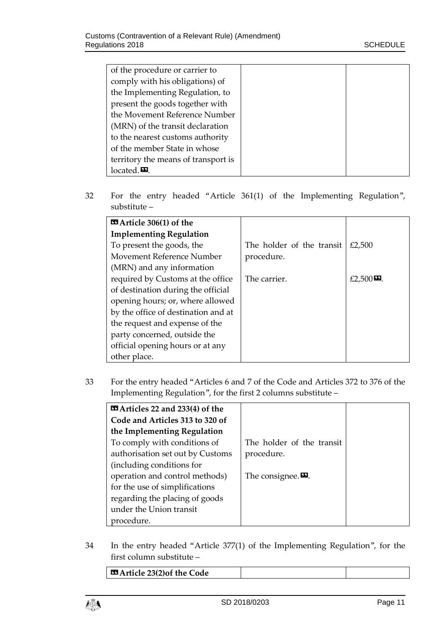| of the procedure or carrier to      |  |
|-------------------------------------|--|
| comply with his obligations) of     |  |
| the Implementing Regulation, to     |  |
| present the goods together with     |  |
| the Movement Reference Number       |  |
| (MRN) of the transit declaration    |  |
| to the nearest customs authority    |  |
| of the member State in whose        |  |
| territory the means of transport is |  |
| located. $\mathbf{E}$ .             |  |

32 For the entry headed "Article 361(1) of the Implementing Regulation", substitute –

| $\blacksquare$ Article 306(1) of the |                           |                                |
|--------------------------------------|---------------------------|--------------------------------|
| <b>Implementing Regulation</b>       |                           |                                |
| To present the goods, the            | The holder of the transit | £2,500                         |
| Movement Reference Number            | procedure.                |                                |
| (MRN) and any information            |                           |                                |
| required by Customs at the office    | The carrier.              | £2,500 $\boldsymbol{\Sigma}$ . |
| of destination during the official   |                           |                                |
| opening hours; or, where allowed     |                           |                                |
| by the office of destination and at  |                           |                                |
| the request and expense of the       |                           |                                |
| party concerned, outside the         |                           |                                |
| official opening hours or at any     |                           |                                |
| other place.                         |                           |                                |

33 For the entry headed "Articles 6 and 7 of the Code and Articles 372 to 376 of the Implementing Regulation", for the first 2 columns substitute –

| <b>Example 32 and 233(4) of the</b> |                               |
|-------------------------------------|-------------------------------|
| Code and Articles 313 to 320 of     |                               |
| the Implementing Regulation         |                               |
| To comply with conditions of        | The holder of the transit     |
| authorisation set out by Customs    | procedure.                    |
| (including conditions for           |                               |
| operation and control methods)      | The consignee. $\mathbf{E}$ . |
| for the use of simplifications      |                               |
| regarding the placing of goods      |                               |
| under the Union transit             |                               |
| procedure.                          |                               |

34 In the entry headed "Article 377(1) of the Implementing Regulation", for the first column substitute –

| $\Box$ Article 23(2) of the Code |  |
|----------------------------------|--|
|----------------------------------|--|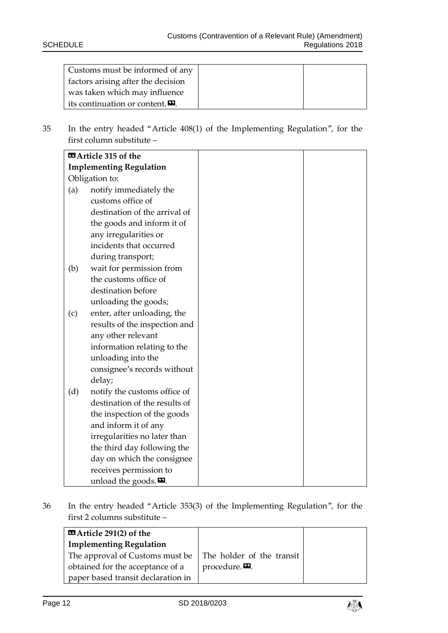| Customs must be informed of any                  |  |
|--------------------------------------------------|--|
| factors arising after the decision               |  |
| was taken which may influence                    |  |
| its continuation or content. $\mathbf{\Sigma}$ . |  |

35 In the entry headed "Article 408(1) of the Implementing Regulation", for the first column substitute –

|     | <b>EE Article 315 of the</b>     |
|-----|----------------------------------|
|     | <b>Implementing Regulation</b>   |
|     | Obligation to:                   |
| (a) | notify immediately the           |
|     | customs office of                |
|     | destination of the arrival of    |
|     | the goods and inform it of       |
|     | any irregularities or            |
|     | incidents that occurred          |
|     | during transport;                |
| (b) | wait for permission from         |
|     | the customs office of            |
|     | destination before               |
|     | unloading the goods;             |
| (c) | enter, after unloading, the      |
|     | results of the inspection and    |
|     | any other relevant               |
|     | information relating to the      |
|     | unloading into the               |
|     | consignee's records without      |
|     | delay;                           |
| (d) | notify the customs office of     |
|     | destination of the results of    |
|     | the inspection of the goods      |
|     | and inform it of any             |
|     | irregularities no later than     |
|     | the third day following the      |
|     | day on which the consignee       |
|     | receives permission to           |
|     | unload the goods. $\mathbf{E}$ . |

36 In the entry headed "Article 353(3) of the Implementing Regulation", for the first 2 columns substitute –



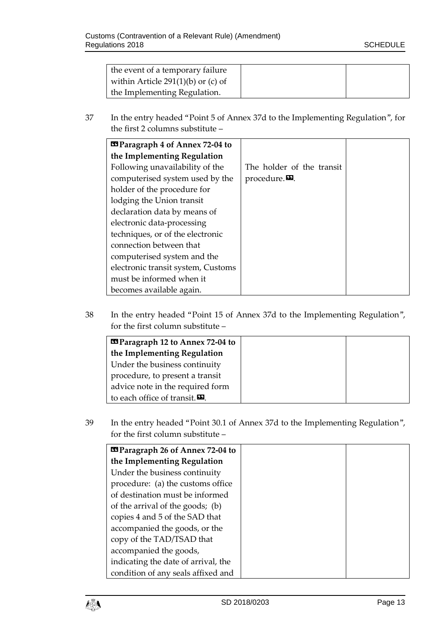| the event of a temporary failure     |  |
|--------------------------------------|--|
| within Article $291(1)(b)$ or (c) of |  |
| the Implementing Regulation.         |  |

37 In the entry headed "Point 5 of Annex 37d to the Implementing Regulation", for the first 2 columns substitute –

| <b>Example 2018</b> Paragraph 4 of Annex 72-04 to |                           |
|---------------------------------------------------|---------------------------|
| the Implementing Regulation                       |                           |
| Following unavailability of the                   | The holder of the transit |
| computerised system used by the                   | procedure. $\mathbf{E}$ . |
| holder of the procedure for                       |                           |
| lodging the Union transit                         |                           |
| declaration data by means of                      |                           |
| electronic data-processing                        |                           |
| techniques, or of the electronic                  |                           |
| connection between that                           |                           |
| computerised system and the                       |                           |
| electronic transit system, Customs                |                           |
| must be informed when it                          |                           |
| becomes available again.                          |                           |

38 In the entry headed "Point 15 of Annex 37d to the Implementing Regulation", for the first column substitute –

| <b>Example 12 to Annex 72-04 to</b> |
|-------------------------------------|
| the Implementing Regulation         |
| Under the business continuity       |
| procedure, to present a transit     |
| advice note in the required form    |
| to each office of transit.          |

39 In the entry headed "Point 30.1 of Annex 37d to the Implementing Regulation", for the first column substitute –

| <b>Example 26 St Annex 72-04 to</b> |
|-------------------------------------|
| the Implementing Regulation         |
| Under the business continuity       |
| procedure: (a) the customs office   |
| of destination must be informed     |
| of the arrival of the goods; (b)    |
| copies 4 and 5 of the SAD that      |
| accompanied the goods, or the       |
| copy of the TAD/TSAD that           |
| accompanied the goods,              |
| indicating the date of arrival, the |
| condition of any seals affixed and  |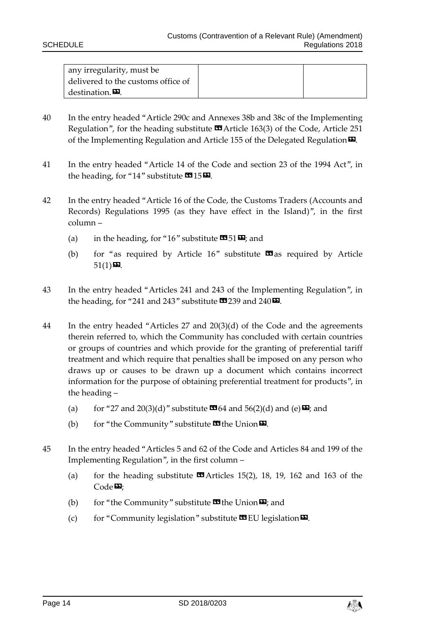| any irregularity, must be          |  |
|------------------------------------|--|
| delivered to the customs office of |  |
| destination. <b>D</b> .            |  |

- 40 In the entry headed "Article 290c and Annexes 38b and 38c of the Implementing Regulation", for the heading substitute  $\mathbf{\Omega}$  Article 163(3) of the Code, Article 251 of the Implementing Regulation and Article 155 of the Delegated Regulation  $\boldsymbol{\Sigma}$ .
- 41 In the entry headed "Article 14 of the Code and section 23 of the 1994 Act", in the heading, for "14" substitute  $\mathbf{C}$ 15 $\mathbf{D}$ .
- 42 In the entry headed "Article 16 of the Code, the Customs Traders (Accounts and Records) Regulations 1995 (as they have effect in the Island)", in the first column –
	- (a) in the heading, for "16" substitute  $\mathbf{\Omega}$  51 $\mathbf{\Sigma}$ ; and
	- (b) for "as required by Article 16" substitute  $\Box$  as required by Article  $51(1)$ **D**.
- 43 In the entry headed "Articles 241 and 243 of the Implementing Regulation", in the heading, for "241 and 243" substitute  $\mathbf{\Omega}$  239 and 240 $\mathbf{\Omega}$ .
- 44 In the entry headed "Articles 27 and 20(3)(d) of the Code and the agreements therein referred to, which the Community has concluded with certain countries or groups of countries and which provide for the granting of preferential tariff treatment and which require that penalties shall be imposed on any person who draws up or causes to be drawn up a document which contains incorrect information for the purpose of obtaining preferential treatment for products", in the heading –
	- (a) for "27 and 20(3)(d)" substitute  $\mathbf{C}$  64 and 56(2)(d) and (e)  $\mathbf{E}$ ; and
	- (b) for "the Community" substitute  $\mathbf{w}$  the Union  $\mathbf{w}$ .
- 45 In the entry headed "Articles 5 and 62 of the Code and Articles 84 and 199 of the Implementing Regulation", in the first column –
	- (a) for the heading substitute  $\blacksquare$  Articles 15(2), 18, 19, 162 and 163 of the  $Code 22$
	- (b) for "the Community" substitute  $\mathbf{w}$  the Union  $\mathbf{w}$ ; and
	- (c) for "Community legislation" substitute  $\mathbf{w}$  EU legislation  $\mathbf{w}$ .